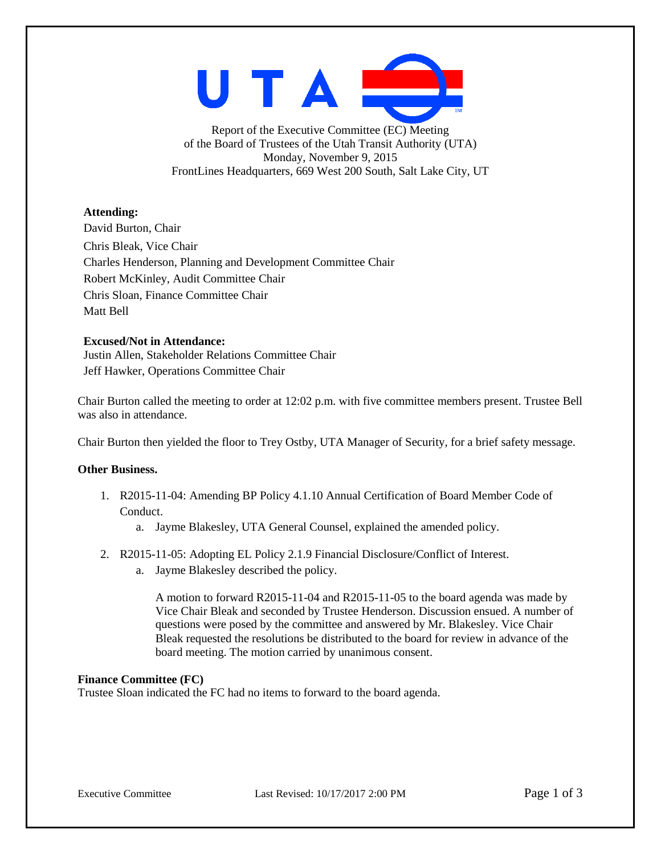

Report of the Executive Committee (EC) Meeting of the Board of Trustees of the Utah Transit Authority (UTA) Monday, November 9, 2015 FrontLines Headquarters, 669 West 200 South, Salt Lake City, UT

# **Attending:**

David Burton, Chair Chris Bleak, Vice Chair Charles Henderson, Planning and Development Committee Chair Robert McKinley, Audit Committee Chair Chris Sloan, Finance Committee Chair Matt Bell

## **Excused/Not in Attendance:**

Justin Allen, Stakeholder Relations Committee Chair Jeff Hawker, Operations Committee Chair

Chair Burton called the meeting to order at 12:02 p.m. with five committee members present. Trustee Bell was also in attendance.

Chair Burton then yielded the floor to Trey Ostby, UTA Manager of Security, for a brief safety message.

## **Other Business.**

- 1. R2015-11-04: Amending BP Policy 4.1.10 Annual Certification of Board Member Code of Conduct.
	- a. Jayme Blakesley, UTA General Counsel, explained the amended policy.
- 2. R2015-11-05: Adopting EL Policy 2.1.9 Financial Disclosure/Conflict of Interest.
	- a. Jayme Blakesley described the policy.

A motion to forward R2015-11-04 and R2015-11-05 to the board agenda was made by Vice Chair Bleak and seconded by Trustee Henderson. Discussion ensued. A number of questions were posed by the committee and answered by Mr. Blakesley. Vice Chair Bleak requested the resolutions be distributed to the board for review in advance of the board meeting. The motion carried by unanimous consent.

## **Finance Committee (FC)**

Trustee Sloan indicated the FC had no items to forward to the board agenda.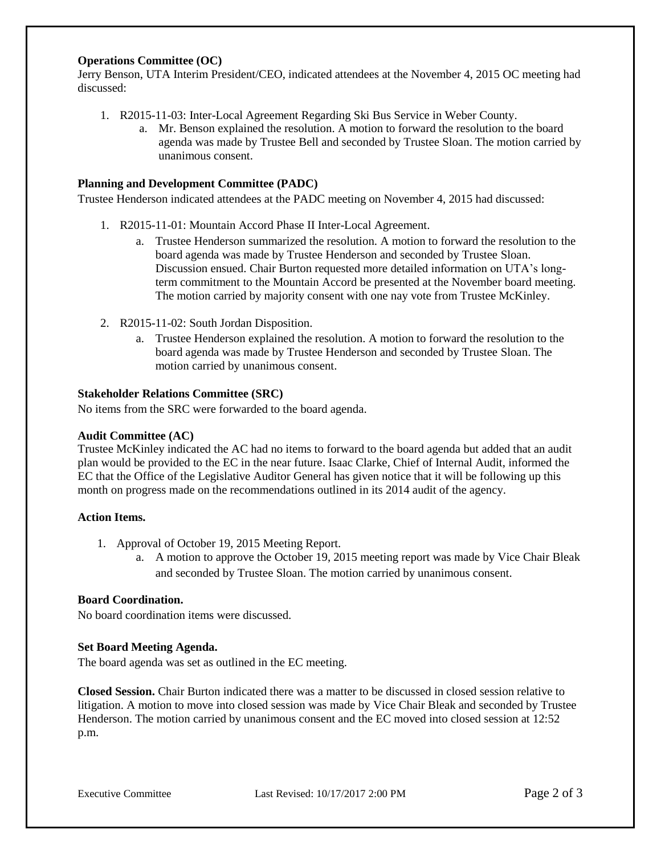## **Operations Committee (OC)**

Jerry Benson, UTA Interim President/CEO, indicated attendees at the November 4, 2015 OC meeting had discussed:

- 1. R2015-11-03: Inter-Local Agreement Regarding Ski Bus Service in Weber County.
	- a. Mr. Benson explained the resolution. A motion to forward the resolution to the board agenda was made by Trustee Bell and seconded by Trustee Sloan. The motion carried by unanimous consent.

## **Planning and Development Committee (PADC)**

Trustee Henderson indicated attendees at the PADC meeting on November 4, 2015 had discussed:

- 1. R2015-11-01: Mountain Accord Phase II Inter-Local Agreement.
	- a. Trustee Henderson summarized the resolution. A motion to forward the resolution to the board agenda was made by Trustee Henderson and seconded by Trustee Sloan. Discussion ensued. Chair Burton requested more detailed information on UTA's longterm commitment to the Mountain Accord be presented at the November board meeting. The motion carried by majority consent with one nay vote from Trustee McKinley.
- 2. R2015-11-02: South Jordan Disposition.
	- a. Trustee Henderson explained the resolution. A motion to forward the resolution to the board agenda was made by Trustee Henderson and seconded by Trustee Sloan. The motion carried by unanimous consent.

### **Stakeholder Relations Committee (SRC)**

No items from the SRC were forwarded to the board agenda.

#### **Audit Committee (AC)**

Trustee McKinley indicated the AC had no items to forward to the board agenda but added that an audit plan would be provided to the EC in the near future. Isaac Clarke, Chief of Internal Audit, informed the EC that the Office of the Legislative Auditor General has given notice that it will be following up this month on progress made on the recommendations outlined in its 2014 audit of the agency.

#### **Action Items.**

- 1. Approval of October 19, 2015 Meeting Report.
	- a. A motion to approve the October 19, 2015 meeting report was made by Vice Chair Bleak and seconded by Trustee Sloan. The motion carried by unanimous consent.

# **Board Coordination.**

No board coordination items were discussed.

## **Set Board Meeting Agenda.**

The board agenda was set as outlined in the EC meeting.

**Closed Session.** Chair Burton indicated there was a matter to be discussed in closed session relative to litigation. A motion to move into closed session was made by Vice Chair Bleak and seconded by Trustee Henderson. The motion carried by unanimous consent and the EC moved into closed session at 12:52 p.m.